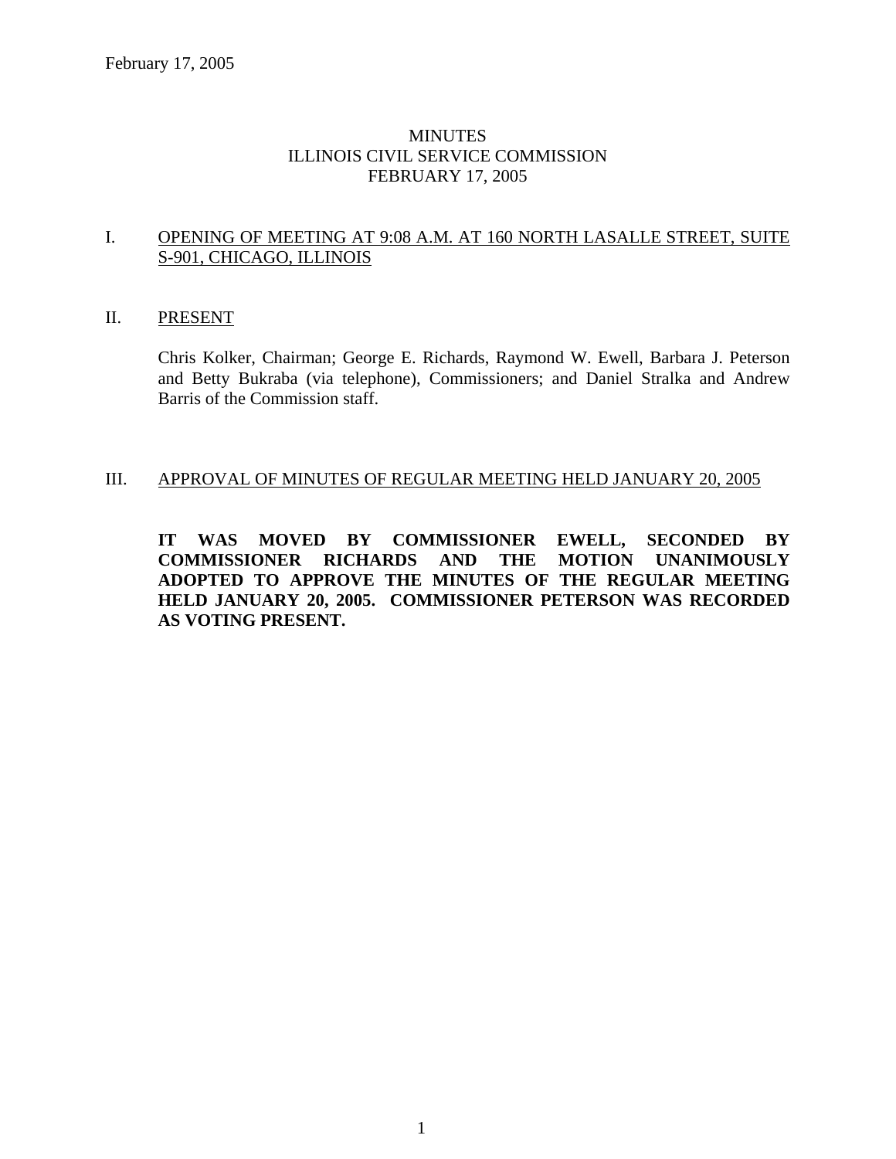## MINUTES ILLINOIS CIVIL SERVICE COMMISSION FEBRUARY 17, 2005

### I. OPENING OF MEETING AT 9:08 A.M. AT 160 NORTH LASALLE STREET, SUITE S-901, CHICAGO, ILLINOIS

#### II. PRESENT

Chris Kolker, Chairman; George E. Richards, Raymond W. Ewell, Barbara J. Peterson and Betty Bukraba (via telephone), Commissioners; and Daniel Stralka and Andrew Barris of the Commission staff.

#### III. APPROVAL OF MINUTES OF REGULAR MEETING HELD JANUARY 20, 2005

**IT WAS MOVED BY COMMISSIONER EWELL, SECONDED BY COMMISSIONER RICHARDS AND THE MOTION UNANIMOUSLY ADOPTED TO APPROVE THE MINUTES OF THE REGULAR MEETING HELD JANUARY 20, 2005. COMMISSIONER PETERSON WAS RECORDED AS VOTING PRESENT.**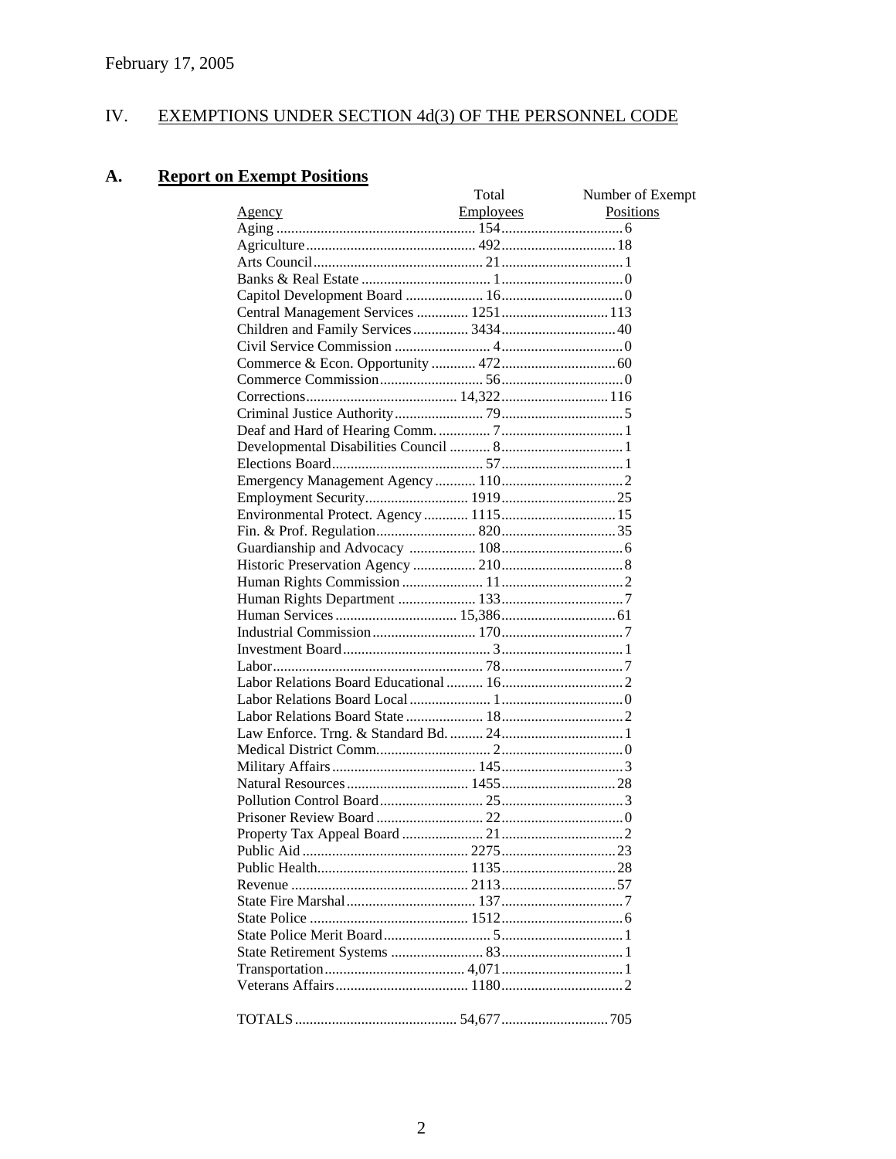#### IV. EXEMPTIONS UNDER SECTION 4d(3) OF THE PERSONNEL CODE

#### **Report on Exempt Positions** A.

|               | Total            | Number of Exempt |
|---------------|------------------|------------------|
| <u>Agency</u> | <b>Employees</b> | Positions        |
|               |                  |                  |
|               |                  |                  |
|               |                  |                  |
|               |                  |                  |
|               |                  |                  |
|               |                  |                  |
|               |                  |                  |
|               |                  |                  |
|               |                  |                  |
|               |                  |                  |
|               |                  |                  |
|               |                  |                  |
|               |                  |                  |
|               |                  |                  |
|               |                  |                  |
|               |                  |                  |
|               |                  |                  |
|               |                  |                  |
|               |                  |                  |
|               |                  |                  |
|               |                  |                  |
|               |                  |                  |
|               |                  |                  |
|               |                  |                  |
|               |                  |                  |
|               |                  |                  |
|               |                  |                  |
|               |                  |                  |
|               |                  |                  |
|               |                  |                  |
|               |                  |                  |
|               |                  |                  |
|               |                  |                  |
|               |                  |                  |
|               |                  |                  |
|               |                  |                  |
|               |                  |                  |
|               |                  |                  |
|               |                  |                  |
|               |                  |                  |
|               |                  |                  |
|               |                  |                  |
|               |                  |                  |
|               |                  |                  |
|               |                  |                  |
|               |                  |                  |
|               |                  |                  |
|               |                  |                  |
|               |                  |                  |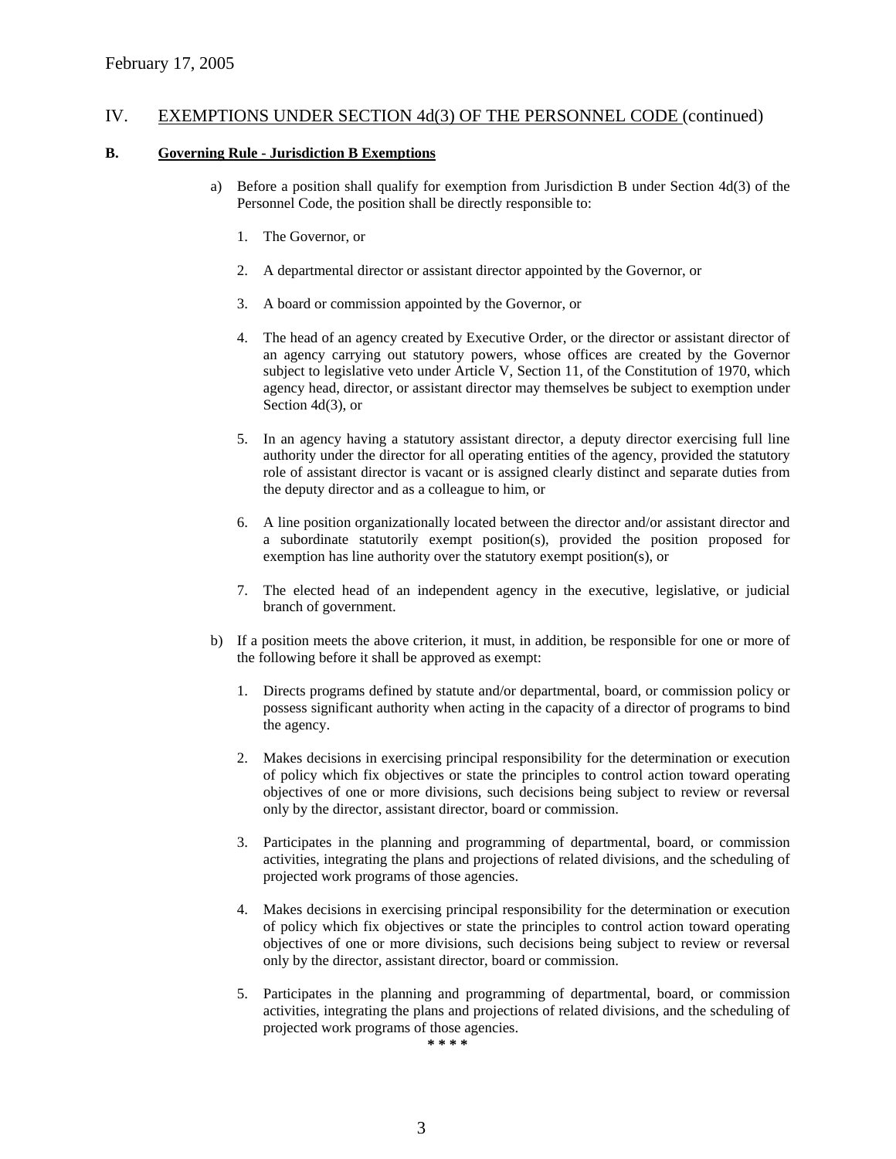#### **B. Governing Rule - Jurisdiction B Exemptions**

- a) Before a position shall qualify for exemption from Jurisdiction B under Section 4d(3) of the Personnel Code, the position shall be directly responsible to:
	- 1. The Governor, or
	- 2. A departmental director or assistant director appointed by the Governor, or
	- 3. A board or commission appointed by the Governor, or
	- 4. The head of an agency created by Executive Order, or the director or assistant director of an agency carrying out statutory powers, whose offices are created by the Governor subject to legislative veto under Article V, Section 11, of the Constitution of 1970, which agency head, director, or assistant director may themselves be subject to exemption under Section 4d(3), or
	- 5. In an agency having a statutory assistant director, a deputy director exercising full line authority under the director for all operating entities of the agency, provided the statutory role of assistant director is vacant or is assigned clearly distinct and separate duties from the deputy director and as a colleague to him, or
	- 6. A line position organizationally located between the director and/or assistant director and a subordinate statutorily exempt position(s), provided the position proposed for exemption has line authority over the statutory exempt position(s), or
	- 7. The elected head of an independent agency in the executive, legislative, or judicial branch of government.
- b) If a position meets the above criterion, it must, in addition, be responsible for one or more of the following before it shall be approved as exempt:
	- 1. Directs programs defined by statute and/or departmental, board, or commission policy or possess significant authority when acting in the capacity of a director of programs to bind the agency.
	- 2. Makes decisions in exercising principal responsibility for the determination or execution of policy which fix objectives or state the principles to control action toward operating objectives of one or more divisions, such decisions being subject to review or reversal only by the director, assistant director, board or commission.
	- 3. Participates in the planning and programming of departmental, board, or commission activities, integrating the plans and projections of related divisions, and the scheduling of projected work programs of those agencies.
	- 4. Makes decisions in exercising principal responsibility for the determination or execution of policy which fix objectives or state the principles to control action toward operating objectives of one or more divisions, such decisions being subject to review or reversal only by the director, assistant director, board or commission.
	- 5. Participates in the planning and programming of departmental, board, or commission activities, integrating the plans and projections of related divisions, and the scheduling of projected work programs of those agencies.

**\* \* \* \***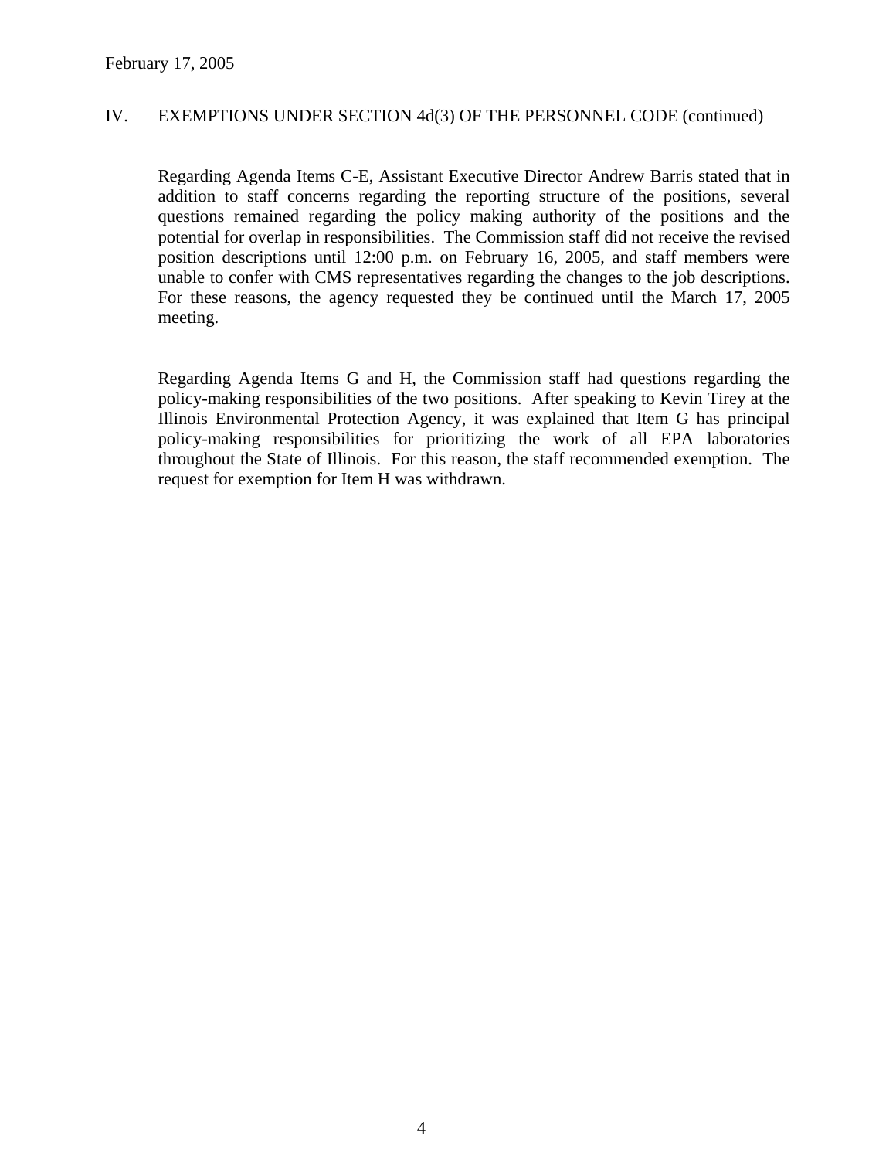Regarding Agenda Items C-E, Assistant Executive Director Andrew Barris stated that in addition to staff concerns regarding the reporting structure of the positions, several questions remained regarding the policy making authority of the positions and the potential for overlap in responsibilities. The Commission staff did not receive the revised position descriptions until 12:00 p.m. on February 16, 2005, and staff members were unable to confer with CMS representatives regarding the changes to the job descriptions. For these reasons, the agency requested they be continued until the March 17, 2005 meeting.

Regarding Agenda Items G and H, the Commission staff had questions regarding the policy-making responsibilities of the two positions. After speaking to Kevin Tirey at the Illinois Environmental Protection Agency, it was explained that Item G has principal policy-making responsibilities for prioritizing the work of all EPA laboratories throughout the State of Illinois. For this reason, the staff recommended exemption. The request for exemption for Item H was withdrawn.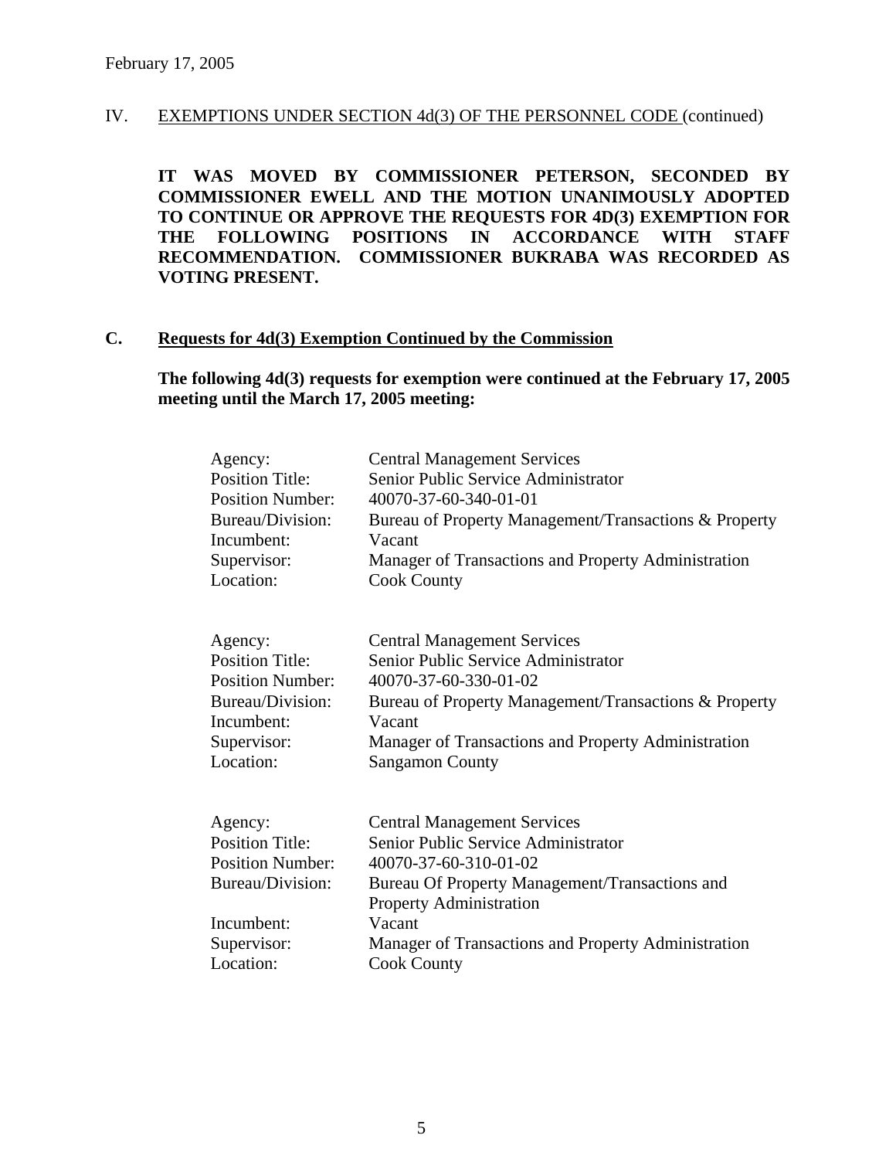**IT WAS MOVED BY COMMISSIONER PETERSON, SECONDED BY COMMISSIONER EWELL AND THE MOTION UNANIMOUSLY ADOPTED TO CONTINUE OR APPROVE THE REQUESTS FOR 4D(3) EXEMPTION FOR THE FOLLOWING POSITIONS IN ACCORDANCE WITH STAFF RECOMMENDATION. COMMISSIONER BUKRABA WAS RECORDED AS VOTING PRESENT.** 

#### **C. Requests for 4d(3) Exemption Continued by the Commission**

## **The following 4d(3) requests for exemption were continued at the February 17, 2005 meeting until the March 17, 2005 meeting:**

| Agency:<br><b>Position Title:</b><br><b>Position Number:</b> | <b>Central Management Services</b><br>Senior Public Service Administrator<br>40070-37-60-340-01-01 |
|--------------------------------------------------------------|----------------------------------------------------------------------------------------------------|
| Bureau/Division:                                             | Bureau of Property Management/Transactions & Property                                              |
| Incumbent:                                                   | Vacant                                                                                             |
| Supervisor:                                                  | Manager of Transactions and Property Administration                                                |
| Location:                                                    | <b>Cook County</b>                                                                                 |
| Agency:                                                      | <b>Central Management Services</b>                                                                 |
| <b>Position Title:</b>                                       | Senior Public Service Administrator                                                                |
| <b>Position Number:</b>                                      | 40070-37-60-330-01-02                                                                              |
| Bureau/Division:                                             | Bureau of Property Management/Transactions & Property                                              |
| Incumbent:                                                   | Vacant                                                                                             |
| Supervisor:                                                  | Manager of Transactions and Property Administration                                                |
| Location:                                                    | <b>Sangamon County</b>                                                                             |
|                                                              |                                                                                                    |
| Agency:                                                      | <b>Central Management Services</b>                                                                 |
| <b>Position Title:</b>                                       | Senior Public Service Administrator                                                                |
| <b>Position Number:</b>                                      | 40070-37-60-310-01-02                                                                              |
| Bureau/Division:                                             | Bureau Of Property Management/Transactions and                                                     |
|                                                              | <b>Property Administration</b>                                                                     |
| Incumbent:                                                   | Vacant                                                                                             |
| Supervisor:                                                  | Manager of Transactions and Property Administration                                                |
| Location:                                                    | <b>Cook County</b>                                                                                 |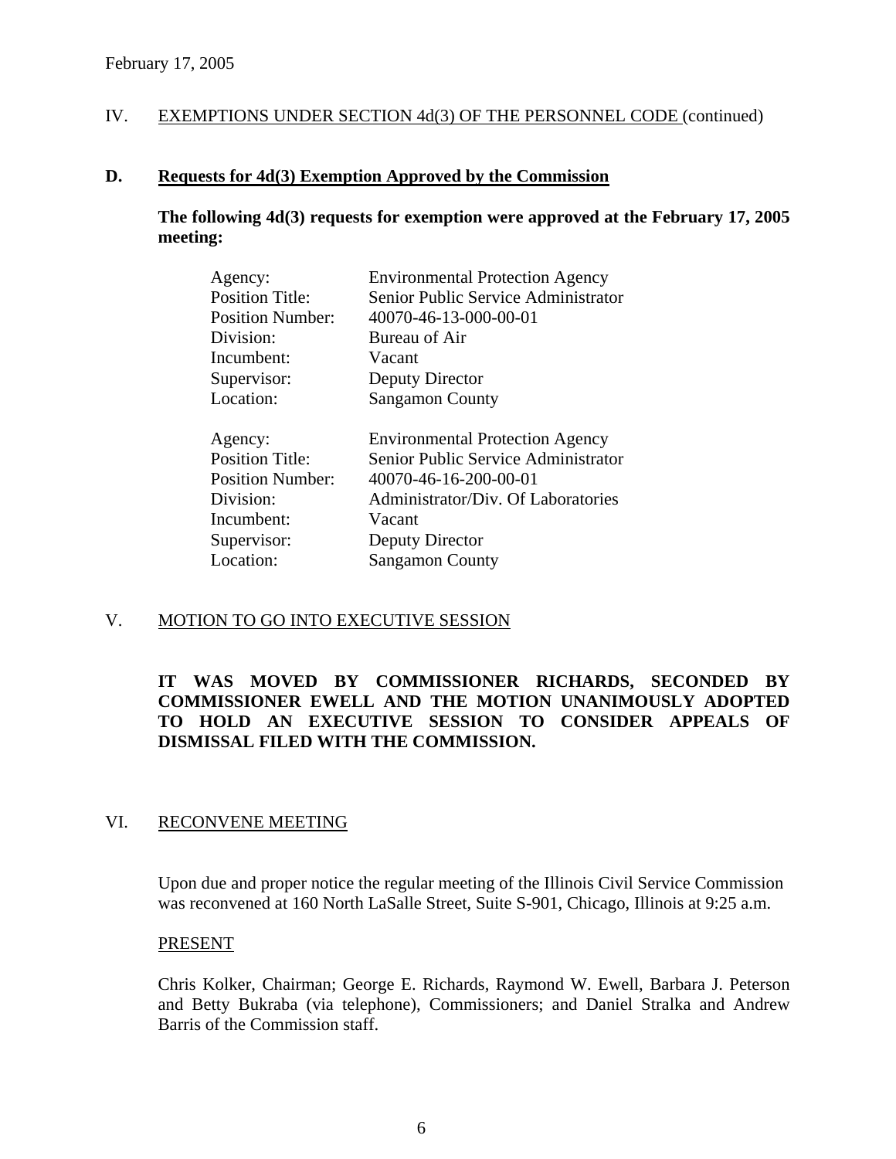#### **D. Requests for 4d(3) Exemption Approved by the Commission**

**The following 4d(3) requests for exemption were approved at the February 17, 2005 meeting:** 

| Agency:                 | <b>Environmental Protection Agency</b> |
|-------------------------|----------------------------------------|
| <b>Position Title:</b>  | Senior Public Service Administrator    |
| <b>Position Number:</b> | 40070-46-13-000-00-01                  |
| Division:               | Bureau of Air                          |
| Incumbent:              | Vacant                                 |
| Supervisor:             | Deputy Director                        |
| Location:               | <b>Sangamon County</b>                 |
|                         |                                        |
|                         |                                        |
| Agency:                 | <b>Environmental Protection Agency</b> |
| <b>Position Title:</b>  | Senior Public Service Administrator    |
| <b>Position Number:</b> | 40070-46-16-200-00-01                  |
| Division:               | Administrator/Div. Of Laboratories     |
| Incumbent:              | Vacant                                 |
| Supervisor:             | Deputy Director                        |
| Location:               | <b>Sangamon County</b>                 |

# V. MOTION TO GO INTO EXECUTIVE SESSION

# **IT WAS MOVED BY COMMISSIONER RICHARDS, SECONDED BY COMMISSIONER EWELL AND THE MOTION UNANIMOUSLY ADOPTED TO HOLD AN EXECUTIVE SESSION TO CONSIDER APPEALS OF DISMISSAL FILED WITH THE COMMISSION.**

## VI. RECONVENE MEETING

Upon due and proper notice the regular meeting of the Illinois Civil Service Commission was reconvened at 160 North LaSalle Street, Suite S-901, Chicago, Illinois at 9:25 a.m.

#### PRESENT

Chris Kolker, Chairman; George E. Richards, Raymond W. Ewell, Barbara J. Peterson and Betty Bukraba (via telephone), Commissioners; and Daniel Stralka and Andrew Barris of the Commission staff.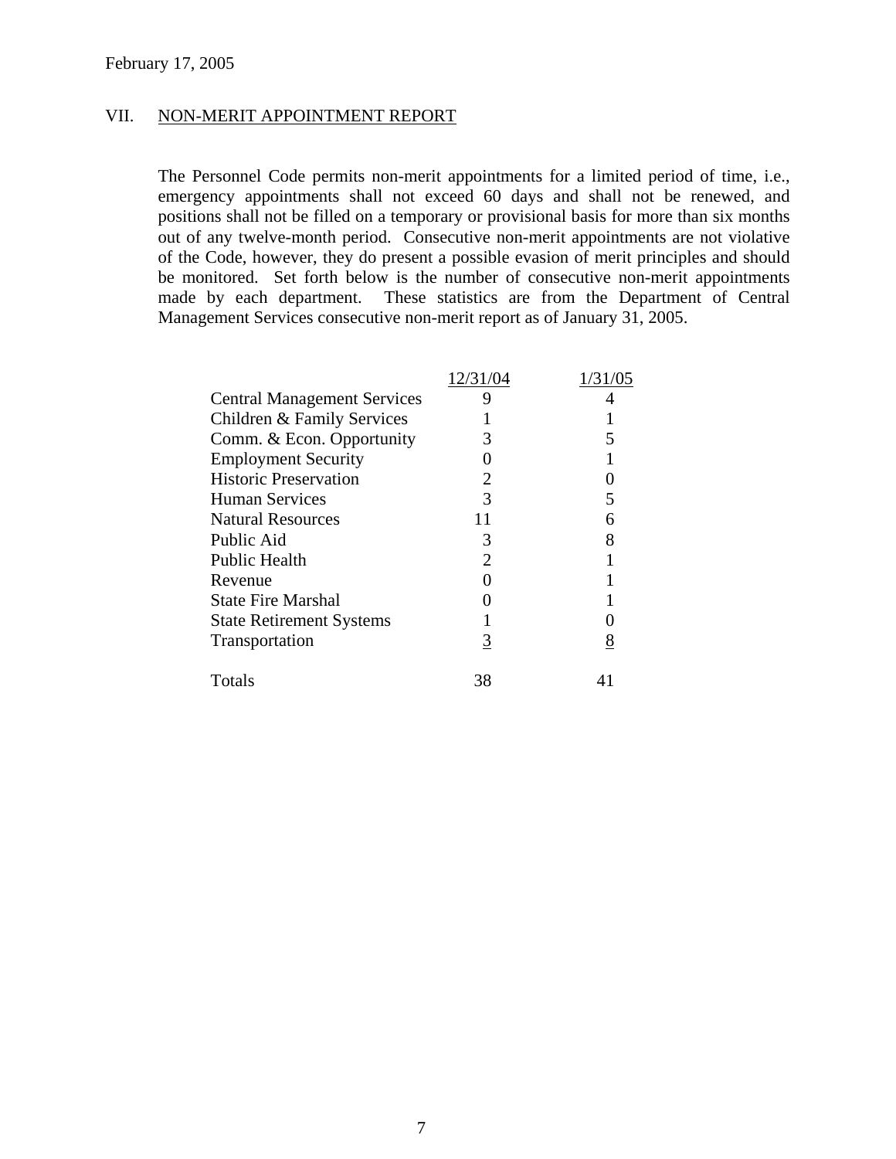#### VII. NON-MERIT APPOINTMENT REPORT

The Personnel Code permits non-merit appointments for a limited period of time, i.e., emergency appointments shall not exceed 60 days and shall not be renewed, and positions shall not be filled on a temporary or provisional basis for more than six months out of any twelve-month period. Consecutive non-merit appointments are not violative of the Code, however, they do present a possible evasion of merit principles and should be monitored. Set forth below is the number of consecutive non-merit appointments made by each department. These statistics are from the Department of Central Management Services consecutive non-merit report as of January 31, 2005.

|                                    | 12/31/04 | 1/31/05  |
|------------------------------------|----------|----------|
| <b>Central Management Services</b> |          |          |
| Children & Family Services         |          |          |
| Comm. & Econ. Opportunity          |          |          |
| <b>Employment Security</b>         |          |          |
| <b>Historic Preservation</b>       |          |          |
| <b>Human Services</b>              |          |          |
| <b>Natural Resources</b>           |          | 6        |
| Public Aid                         | 3        | 8        |
| <b>Public Health</b>               |          |          |
| Revenue                            |          |          |
| <b>State Fire Marshal</b>          |          |          |
| <b>State Retirement Systems</b>    |          |          |
| Transportation                     | 3        | <u>8</u> |
| Totals                             | 38       |          |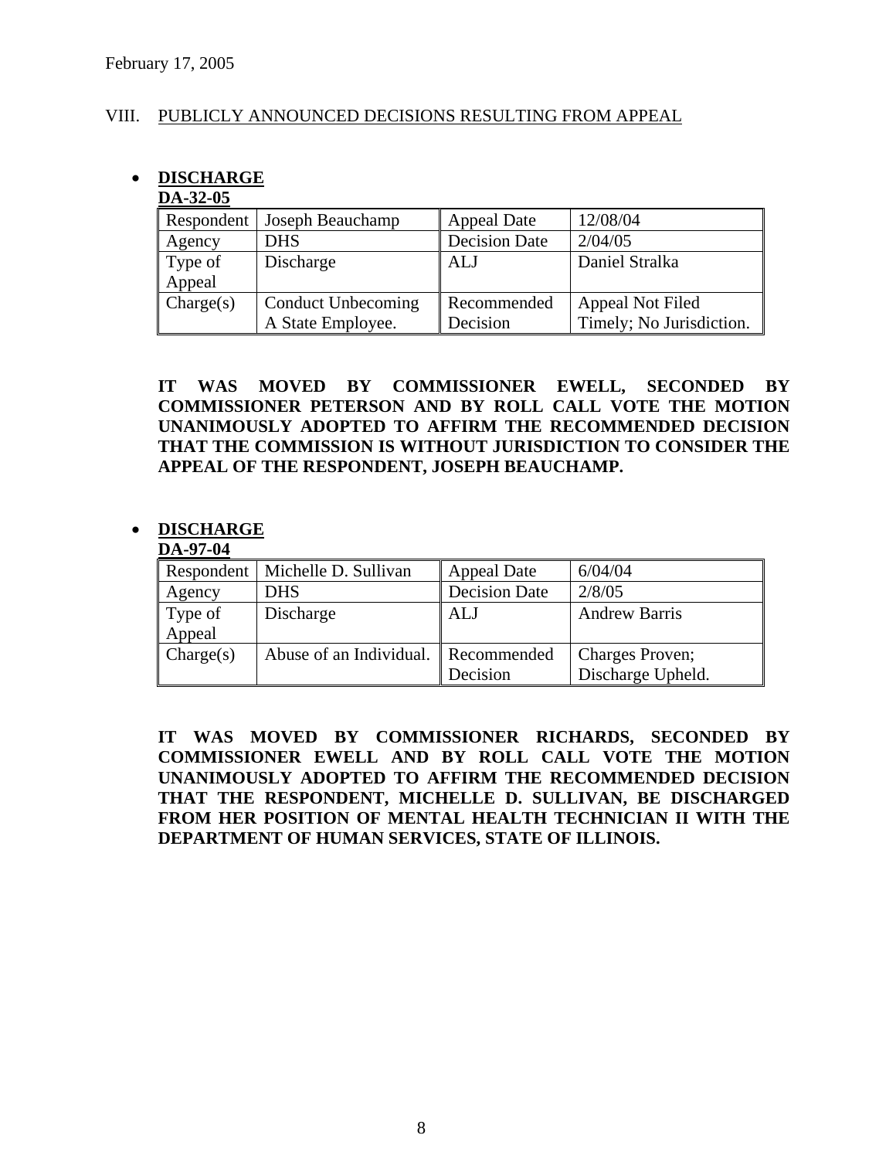## VIII. PUBLICLY ANNOUNCED DECISIONS RESULTING FROM APPEAL

# • **DISCHARGE**

### **DA-32-05**

|           | Respondent   Joseph Beauchamp | <b>Appeal Date</b>   | 12/08/04                 |
|-----------|-------------------------------|----------------------|--------------------------|
| Agency    | <b>DHS</b>                    | <b>Decision Date</b> | 2/04/05                  |
| Type of   | Discharge                     | ALJ                  | Daniel Stralka           |
| Appeal    |                               |                      |                          |
| Change(s) | Conduct Unbecoming            | Recommended          | Appeal Not Filed         |
|           | A State Employee.             | Decision             | Timely; No Jurisdiction. |

**IT WAS MOVED BY COMMISSIONER EWELL, SECONDED BY COMMISSIONER PETERSON AND BY ROLL CALL VOTE THE MOTION UNANIMOUSLY ADOPTED TO AFFIRM THE RECOMMENDED DECISION THAT THE COMMISSION IS WITHOUT JURISDICTION TO CONSIDER THE APPEAL OF THE RESPONDENT, JOSEPH BEAUCHAMP.** 

# • **DISCHARGE**

#### **DA-97-04**

|           | Respondent   Michelle D. Sullivan | <b>Appeal Date</b>   | 6/04/04              |
|-----------|-----------------------------------|----------------------|----------------------|
| Agency    | <b>DHS</b>                        | <b>Decision Date</b> | 2/8/05               |
| Type of   | Discharge                         | ALJ                  | <b>Andrew Barris</b> |
| Appeal    |                                   |                      |                      |
| Change(s) | Abuse of an Individual.           | Recommended          | Charges Proven;      |
|           |                                   | Decision             | Discharge Upheld.    |

**IT WAS MOVED BY COMMISSIONER RICHARDS, SECONDED BY COMMISSIONER EWELL AND BY ROLL CALL VOTE THE MOTION UNANIMOUSLY ADOPTED TO AFFIRM THE RECOMMENDED DECISION THAT THE RESPONDENT, MICHELLE D. SULLIVAN, BE DISCHARGED FROM HER POSITION OF MENTAL HEALTH TECHNICIAN II WITH THE DEPARTMENT OF HUMAN SERVICES, STATE OF ILLINOIS.**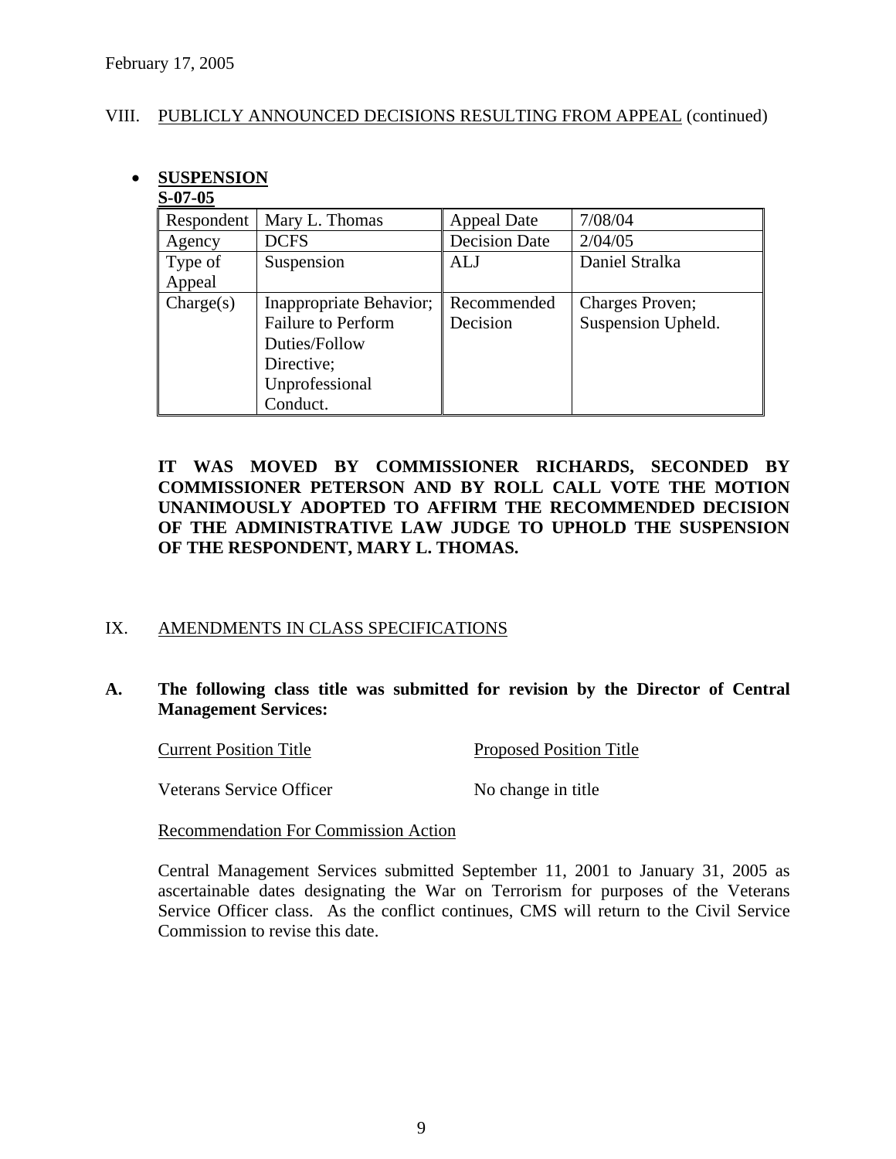#### VIII. PUBLICLY ANNOUNCED DECISIONS RESULTING FROM APPEAL (continued)

# • **SUSPENSION**

### **S-07-05**

| Respondent | Mary L. Thomas            | <b>Appeal Date</b>   | 7/08/04            |
|------------|---------------------------|----------------------|--------------------|
| Agency     | <b>DCFS</b>               | <b>Decision Date</b> | 2/04/05            |
| Type of    | Suspension                | ALJ                  | Daniel Stralka     |
| Appeal     |                           |                      |                    |
| Change(s)  | Inappropriate Behavior;   | Recommended          | Charges Proven;    |
|            | <b>Failure to Perform</b> | Decision             | Suspension Upheld. |
|            | Duties/Follow             |                      |                    |
|            | Directive;                |                      |                    |
|            | Unprofessional            |                      |                    |
|            | Conduct.                  |                      |                    |

# **IT WAS MOVED BY COMMISSIONER RICHARDS, SECONDED BY COMMISSIONER PETERSON AND BY ROLL CALL VOTE THE MOTION UNANIMOUSLY ADOPTED TO AFFIRM THE RECOMMENDED DECISION OF THE ADMINISTRATIVE LAW JUDGE TO UPHOLD THE SUSPENSION OF THE RESPONDENT, MARY L. THOMAS.**

# IX. AMENDMENTS IN CLASS SPECIFICATIONS

# **A. The following class title was submitted for revision by the Director of Central Management Services:**

Current Position Title Proposed Position Title

**Veterans Service Officer** No change in title

Recommendation For Commission Action

Central Management Services submitted September 11, 2001 to January 31, 2005 as ascertainable dates designating the War on Terrorism for purposes of the Veterans Service Officer class. As the conflict continues, CMS will return to the Civil Service Commission to revise this date.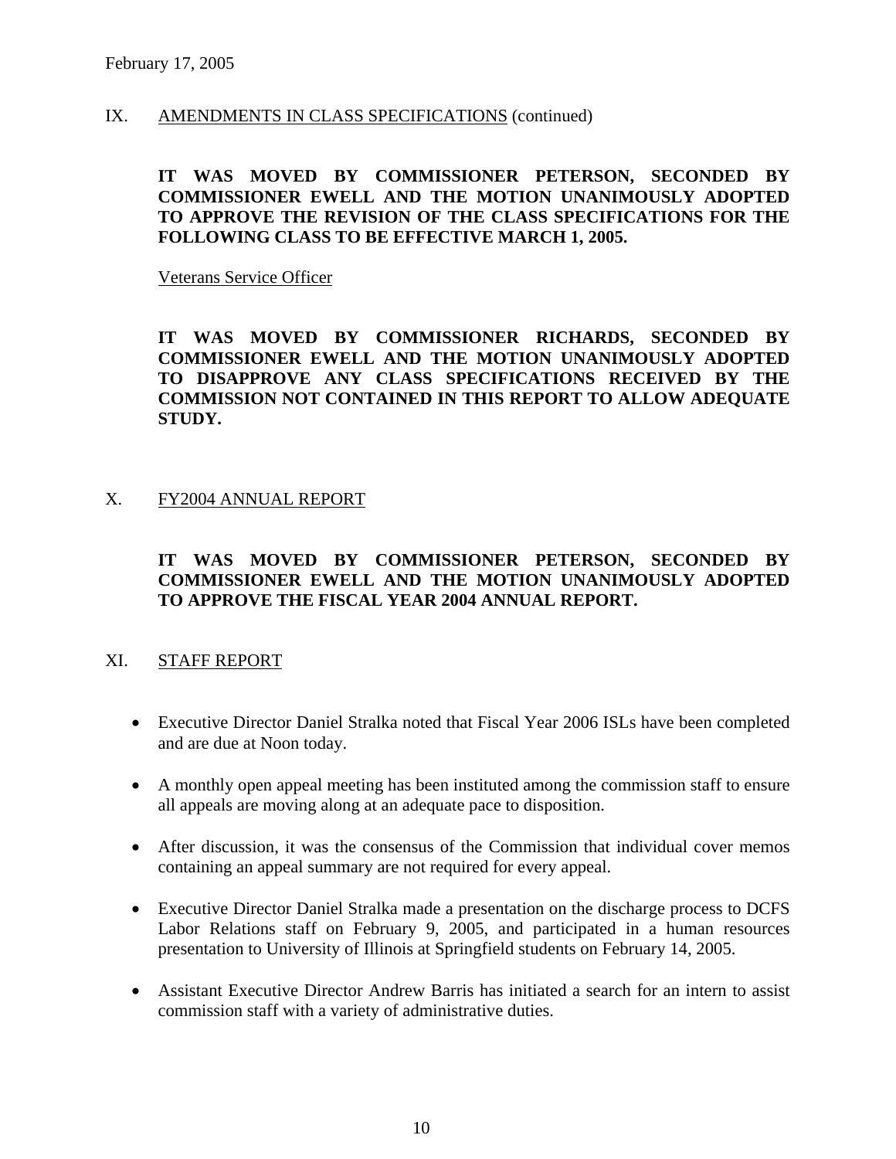#### IX. AMENDMENTS IN CLASS SPECIFICATIONS (continued)

## **IT WAS MOVED BY COMMISSIONER PETERSON, SECONDED BY COMMISSIONER EWELL AND THE MOTION UNANIMOUSLY ADOPTED TO APPROVE THE REVISION OF THE CLASS SPECIFICATIONS FOR THE FOLLOWING CLASS TO BE EFFECTIVE MARCH 1, 2005.**

Veterans Service Officer

**IT WAS MOVED BY COMMISSIONER RICHARDS, SECONDED BY COMMISSIONER EWELL AND THE MOTION UNANIMOUSLY ADOPTED TO DISAPPROVE ANY CLASS SPECIFICATIONS RECEIVED BY THE COMMISSION NOT CONTAINED IN THIS REPORT TO ALLOW ADEQUATE STUDY.** 

#### X. FY2004 ANNUAL REPORT

# **IT WAS MOVED BY COMMISSIONER PETERSON, SECONDED BY COMMISSIONER EWELL AND THE MOTION UNANIMOUSLY ADOPTED TO APPROVE THE FISCAL YEAR 2004 ANNUAL REPORT.**

#### XI. STAFF REPORT

- Executive Director Daniel Stralka noted that Fiscal Year 2006 ISLs have been completed and are due at Noon today.
- A monthly open appeal meeting has been instituted among the commission staff to ensure all appeals are moving along at an adequate pace to disposition.
- After discussion, it was the consensus of the Commission that individual cover memos containing an appeal summary are not required for every appeal.
- Executive Director Daniel Stralka made a presentation on the discharge process to DCFS Labor Relations staff on February 9, 2005, and participated in a human resources presentation to University of Illinois at Springfield students on February 14, 2005.
- Assistant Executive Director Andrew Barris has initiated a search for an intern to assist commission staff with a variety of administrative duties.